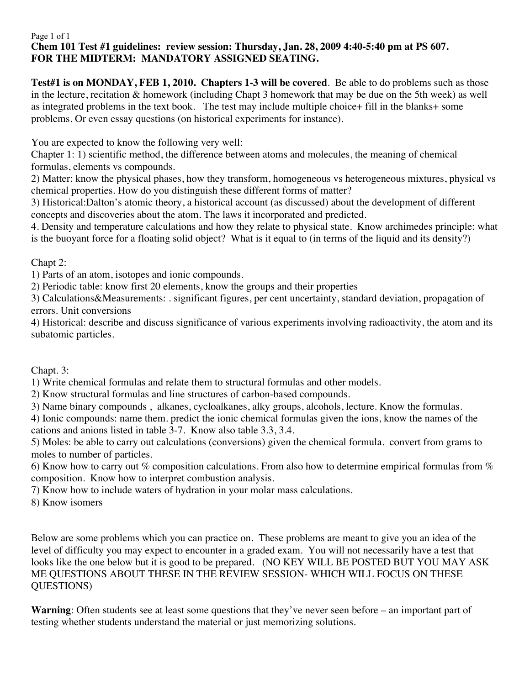## Page 1 of 1 **Chem 101 Test #1 guidelines: review session: Thursday, Jan. 28, 2009 4:40-5:40 pm at PS 607. FOR THE MIDTERM: MANDATORY ASSIGNED SEATING.**

**Test#1 is on MONDAY, FEB 1, 2010. Chapters 1-3 will be covered**. Be able to do problems such as those in the lecture, recitation & homework (including Chapt 3 homework that may be due on the 5th week) as well as integrated problems in the text book. The test may include multiple choice+ fill in the blanks+ some problems. Or even essay questions (on historical experiments for instance).

You are expected to know the following very well:

Chapter 1: 1) scientific method, the difference between atoms and molecules, the meaning of chemical formulas, elements vs compounds.

2) Matter: know the physical phases, how they transform, homogeneous vs heterogeneous mixtures, physical vs chemical properties. How do you distinguish these different forms of matter?

3) Historical:Dalton's atomic theory, a historical account (as discussed) about the development of different concepts and discoveries about the atom. The laws it incorporated and predicted.

4. Density and temperature calculations and how they relate to physical state. Know archimedes principle: what is the buoyant force for a floating solid object? What is it equal to (in terms of the liquid and its density?)

Chapt 2:

1) Parts of an atom, isotopes and ionic compounds.

2) Periodic table: know first 20 elements, know the groups and their properties

3) Calculations&Measurements: . significant figures, per cent uncertainty, standard deviation, propagation of errors. Unit conversions

4) Historical: describe and discuss significance of various experiments involving radioactivity, the atom and its subatomic particles.

Chapt. 3:

1) Write chemical formulas and relate them to structural formulas and other models.

2) Know structural formulas and line structures of carbon-based compounds.

3) Name binary compounds , alkanes, cycloalkanes, alky groups, alcohols, lecture. Know the formulas.

4) Ionic compounds: name them. predict the ionic chemical formulas given the ions, know the names of the cations and anions listed in table 3-7. Know also table 3.3, 3.4.

5) Moles: be able to carry out calculations (conversions) given the chemical formula. convert from grams to moles to number of particles.

6) Know how to carry out % composition calculations. From also how to determine empirical formulas from  $\%$ composition. Know how to interpret combustion analysis.

7) Know how to include waters of hydration in your molar mass calculations.

8) Know isomers

Below are some problems which you can practice on. These problems are meant to give you an idea of the level of difficulty you may expect to encounter in a graded exam. You will not necessarily have a test that looks like the one below but it is good to be prepared. (NO KEY WILL BE POSTED BUT YOU MAY ASK ME QUESTIONS ABOUT THESE IN THE REVIEW SESSION- WHICH WILL FOCUS ON THESE QUESTIONS)

**Warning**: Often students see at least some questions that they've never seen before – an important part of testing whether students understand the material or just memorizing solutions.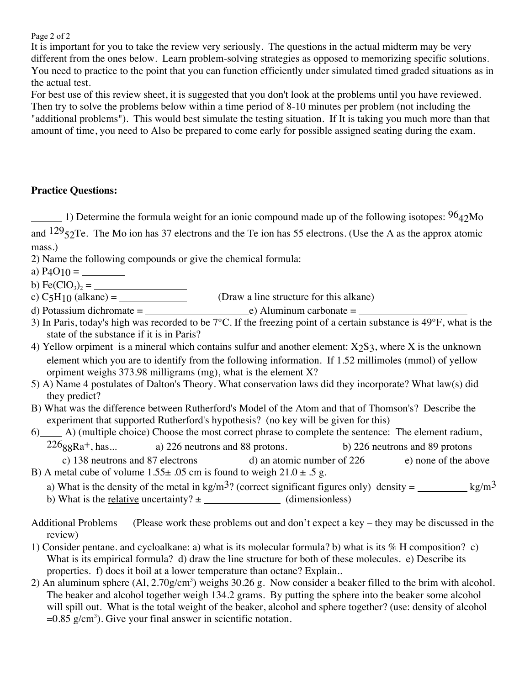Page 2 of 2

It is important for you to take the review very seriously. The questions in the actual midterm may be very different from the ones below. Learn problem-solving strategies as opposed to memorizing specific solutions. You need to practice to the point that you can function efficiently under simulated timed graded situations as in the actual test.

For best use of this review sheet, it is suggested that you don't look at the problems until you have reviewed. Then try to solve the problems below within a time period of 8-10 minutes per problem (not including the "additional problems"). This would best simulate the testing situation. If It is taking you much more than that amount of time, you need to Also be prepared to come early for possible assigned seating during the exam.

## **Practice Questions:**

1) Determine the formula weight for an ionic compound made up of the following isotopes:  $96<sub>42</sub>$ Mo and  $129_{52}$ Te. The Mo ion has 37 electrons and the Te ion has 55 electrons. (Use the A as the approx atomic

- mass.)
- 2) Name the following compounds or give the chemical formula:
- a) P4O10 =

b) Fe( $ClO_3$ )<sub>2</sub> =

- c) C5H10 (alkane) = (Draw a line structure for this alkane)
- d) Potassium dichromate =  $\rule{1em}{0.15mm}$  =  $\rule{1.5mm}{0.15mm}$  Aluminum carbonate =
- 3) In Paris, today's high was recorded to be 7°C. If the freezing point of a certain substance is 49°F, what is the state of the substance if it is in Paris?
- 4) Yellow orpiment is a mineral which contains sulfur and another element:  $X_2S_3$ , where X is the unknown element which you are to identify from the following information. If 1.52 millimoles (mmol) of yellow orpiment weighs 373.98 milligrams (mg), what is the element X?
- 5) A) Name 4 postulates of Dalton's Theory. What conservation laws did they incorporate? What law(s) did they predict?
- B) What was the difference between Rutherford's Model of the Atom and that of Thomson's? Describe the experiment that supported Rutherford's hypothesis? (no key will be given for this)
- 6) A) (multiple choice) Choose the most correct phrase to complete the sentence: The element radium,  $226_{88}Ra^{+}$ , has... a) 226 neutrons and 88 protons. b) 226 neutrons and 89 protons c) 138 neutrons and 87 electrons d) an atomic number of 226 e) none of the above
- B) A metal cube of volume  $1.55\pm .05$  cm is found to weigh  $21.0\pm .5$  g.
	- a) What is the density of the metal in kg/m<sup>3</sup>? (correct significant figures only) density = kg/m<sup>3</sup>

b) What is the <u>relative</u> uncertainty?  $\pm$  (dimensionless)

- 1) Consider pentane. and cycloalkane: a) what is its molecular formula? b) what is its % H composition? c) What is its empirical formula? d) draw the line structure for both of these molecules. e) Describe its properties. f) does it boil at a lower temperature than octane? Explain..
- 2) An aluminum sphere  $(Al, 2.70g/cm<sup>3</sup>)$  weighs 30.26 g. Now consider a beaker filled to the brim with alcohol. The beaker and alcohol together weigh 134.2 grams. By putting the sphere into the beaker some alcohol will spill out. What is the total weight of the beaker, alcohol and sphere together? (use: density of alcohol  $=0.85$  g/cm<sup>3</sup>). Give your final answer in scientific notation.

Additional Problems (Please work these problems out and don't expect a key – they may be discussed in the review)